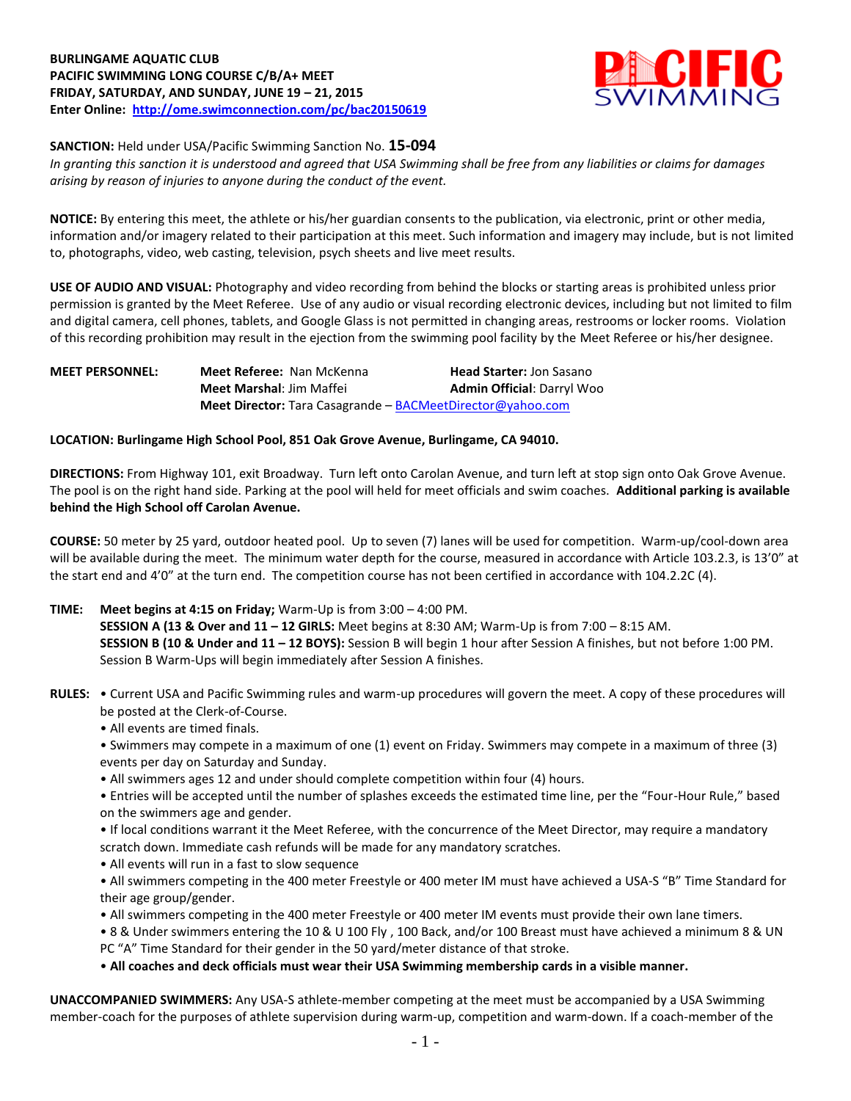## **BURLINGAME AQUATIC CLUB PACIFIC SWIMMING LONG COURSE C/B/A+ MEET FRIDAY, SATURDAY, AND SUNDAY, JUNE 19 – 21, 2015 Enter Online: <http://ome.swimconnection.com/pc/bac20150619>**



#### **SANCTION:** Held under USA/Pacific Swimming Sanction No. **15-094**

*In granting this sanction it is understood and agreed that USA Swimming shall be free from any liabilities or claims for damages arising by reason of injuries to anyone during the conduct of the event.*

**NOTICE:** By entering this meet, the athlete or his/her guardian consents to the publication, via electronic, print or other media, information and/or imagery related to their participation at this meet. Such information and imagery may include, but is not limited to, photographs, video, web casting, television, psych sheets and live meet results.

**USE OF AUDIO AND VISUAL:** Photography and video recording from behind the blocks or starting areas is prohibited unless prior permission is granted by the Meet Referee. Use of any audio or visual recording electronic devices, including but not limited to film and digital camera, cell phones, tablets, and Google Glass is not permitted in changing areas, restrooms or locker rooms. Violation of this recording prohibition may result in the ejection from the swimming pool facility by the Meet Referee or his/her designee.

| <b>MEET PERSONNEL:</b> | Meet Referee: Nan McKenna                                         | <b>Head Starter: Jon Sasano</b>   |
|------------------------|-------------------------------------------------------------------|-----------------------------------|
|                        | <b>Meet Marshal: Jim Maffei</b>                                   | <b>Admin Official: Darryl Woo</b> |
|                        | <b>Meet Director:</b> Tara Casagrande – BACMeetDirector@yahoo.com |                                   |

## **LOCATION: Burlingame High School Pool, 851 Oak Grove Avenue, Burlingame, CA 94010.**

**DIRECTIONS:** From Highway 101, exit Broadway. Turn left onto Carolan Avenue, and turn left at stop sign onto Oak Grove Avenue. The pool is on the right hand side. Parking at the pool will held for meet officials and swim coaches. **Additional parking is available behind the High School off Carolan Avenue.**

**COURSE:** 50 meter by 25 yard, outdoor heated pool. Up to seven (7) lanes will be used for competition. Warm-up/cool-down area will be available during the meet. The minimum water depth for the course, measured in accordance with Article 103.2.3, is 13'0" at the start end and 4'0" at the turn end. The competition course has not been certified in accordance with 104.2.2C (4).

- **TIME: Meet begins at 4:15 on Friday;** Warm-Up is from 3:00 4:00 PM. **SESSION A (13 & Over and 11 – 12 GIRLS:** Meet begins at 8:30 AM; Warm-Up is from 7:00 – 8:15 AM. **SESSION B (10 & Under and 11 – 12 BOYS):** Session B will begin 1 hour after Session A finishes, but not before 1:00 PM. Session B Warm-Ups will begin immediately after Session A finishes.
- **RULES:** Current USA and Pacific Swimming rules and warm-up procedures will govern the meet. A copy of these procedures will be posted at the Clerk-of-Course.
	- All events are timed finals.
	- Swimmers may compete in a maximum of one (1) event on Friday. Swimmers may compete in a maximum of three (3) events per day on Saturday and Sunday.
	- All swimmers ages 12 and under should complete competition within four (4) hours.
	- Entries will be accepted until the number of splashes exceeds the estimated time line, per the "Four-Hour Rule," based on the swimmers age and gender.
	- If local conditions warrant it the Meet Referee, with the concurrence of the Meet Director, may require a mandatory scratch down. Immediate cash refunds will be made for any mandatory scratches.
	- All events will run in a fast to slow sequence
	- All swimmers competing in the 400 meter Freestyle or 400 meter IM must have achieved a USA-S "B" Time Standard for their age group/gender.
	- All swimmers competing in the 400 meter Freestyle or 400 meter IM events must provide their own lane timers.
	- 8 & Under swimmers entering the 10 & U 100 Fly , 100 Back, and/or 100 Breast must have achieved a minimum 8 & UN PC "A" Time Standard for their gender in the 50 yard/meter distance of that stroke.
	- **All coaches and deck officials must wear their USA Swimming membership cards in a visible manner.**

**UNACCOMPANIED SWIMMERS:** Any USA-S athlete-member competing at the meet must be accompanied by a USA Swimming member-coach for the purposes of athlete supervision during warm-up, competition and warm-down. If a coach-member of the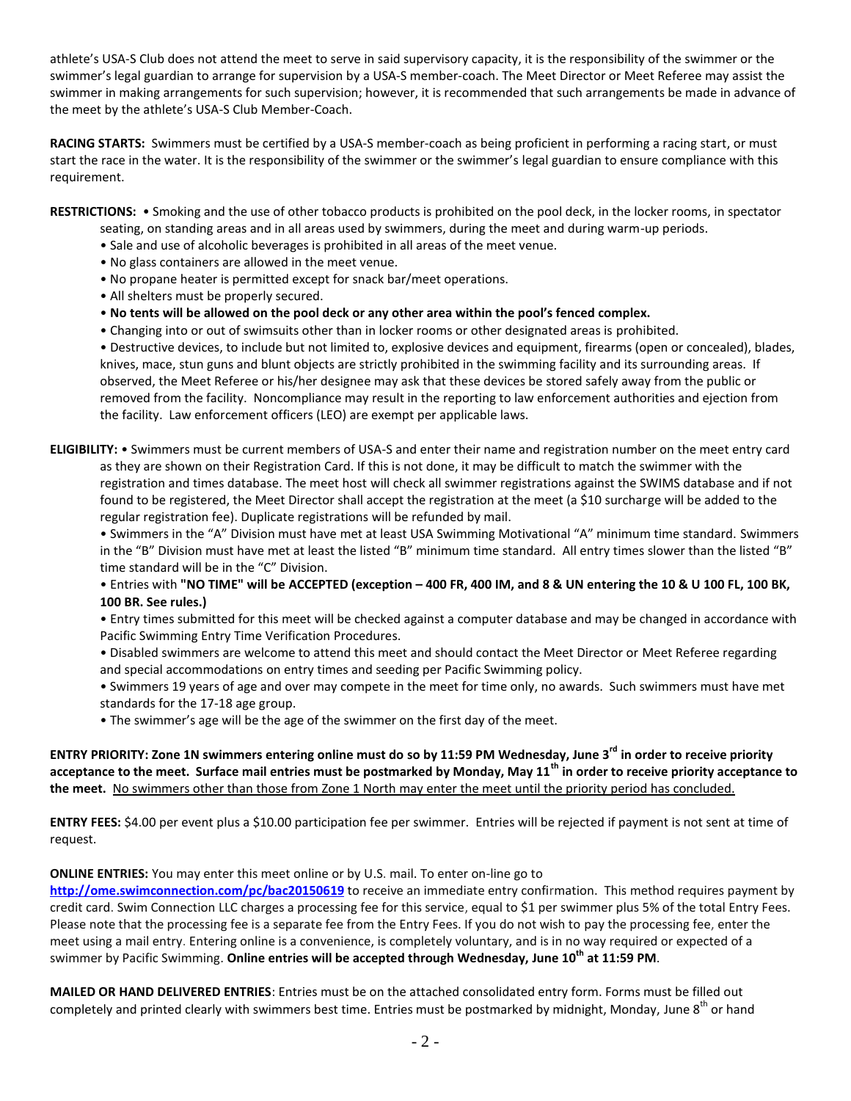athlete's USA-S Club does not attend the meet to serve in said supervisory capacity, it is the responsibility of the swimmer or the swimmer's legal guardian to arrange for supervision by a USA-S member-coach. The Meet Director or Meet Referee may assist the swimmer in making arrangements for such supervision; however, it is recommended that such arrangements be made in advance of the meet by the athlete's USA-S Club Member-Coach.

**RACING STARTS:** Swimmers must be certified by a USA-S member-coach as being proficient in performing a racing start, or must start the race in the water. It is the responsibility of the swimmer or the swimmer's legal guardian to ensure compliance with this requirement.

**RESTRICTIONS:** • Smoking and the use of other tobacco products is prohibited on the pool deck, in the locker rooms, in spectator

- seating, on standing areas and in all areas used by swimmers, during the meet and during warm-up periods.
- Sale and use of alcoholic beverages is prohibited in all areas of the meet venue.
- No glass containers are allowed in the meet venue.
- No propane heater is permitted except for snack bar/meet operations.
- All shelters must be properly secured.
- **No tents will be allowed on the pool deck or any other area within the pool's fenced complex.**
- Changing into or out of swimsuits other than in locker rooms or other designated areas is prohibited.

• Destructive devices, to include but not limited to, explosive devices and equipment, firearms (open or concealed), blades, knives, mace, stun guns and blunt objects are strictly prohibited in the swimming facility and its surrounding areas. If observed, the Meet Referee or his/her designee may ask that these devices be stored safely away from the public or removed from the facility. Noncompliance may result in the reporting to law enforcement authorities and ejection from the facility. Law enforcement officers (LEO) are exempt per applicable laws.

**ELIGIBILITY:** • Swimmers must be current members of USA-S and enter their name and registration number on the meet entry card as they are shown on their Registration Card. If this is not done, it may be difficult to match the swimmer with the registration and times database. The meet host will check all swimmer registrations against the SWIMS database and if not found to be registered, the Meet Director shall accept the registration at the meet (a \$10 surcharge will be added to the regular registration fee). Duplicate registrations will be refunded by mail.

• Swimmers in the "A" Division must have met at least USA Swimming Motivational "A" minimum time standard. Swimmers in the "B" Division must have met at least the listed "B" minimum time standard. All entry times slower than the listed "B" time standard will be in the "C" Division.

• Entries with **"NO TIME" will be ACCEPTED (exception – 400 FR, 400 IM, and 8 & UN entering the 10 & U 100 FL, 100 BK, 100 BR. See rules.)**

• Entry times submitted for this meet will be checked against a computer database and may be changed in accordance with Pacific Swimming Entry Time Verification Procedures.

- Disabled swimmers are welcome to attend this meet and should contact the Meet Director or Meet Referee regarding and special accommodations on entry times and seeding per Pacific Swimming policy.
- Swimmers 19 years of age and over may compete in the meet for time only, no awards. Such swimmers must have met standards for the 17-18 age group.
- The swimmer's age will be the age of the swimmer on the first day of the meet.

**ENTRY PRIORITY: Zone 1N swimmers entering online must do so by 11:59 PM Wednesday, June 3rd in order to receive priority acceptance to the meet. Surface mail entries must be postmarked by Monday, May 11th in order to receive priority acceptance to the meet.** No swimmers other than those from Zone 1 North may enter the meet until the priority period has concluded.

**ENTRY FEES:** \$4.00 per event plus a \$10.00 participation fee per swimmer. Entries will be rejected if payment is not sent at time of request.

# **ONLINE ENTRIES:** You may enter this meet online or by U.S. mail. To enter on-line go to

**<http://ome.swimconnection.com/pc/bac20150619>** to receive an immediate entry confirmation. This method requires payment by credit card. Swim Connection LLC charges a processing fee for this service, equal to \$1 per swimmer plus 5% of the total Entry Fees. Please note that the processing fee is a separate fee from the Entry Fees. If you do not wish to pay the processing fee, enter the meet using a mail entry. Entering online is a convenience, is completely voluntary, and is in no way required or expected of a swimmer by Pacific Swimming. **Online entries will be accepted through Wednesday, June 10 th at 11:59 PM**.

**MAILED OR HAND DELIVERED ENTRIES**: Entries must be on the attached consolidated entry form. Forms must be filled out completely and printed clearly with swimmers best time. Entries must be postmarked by midnight, Monday, June  $8<sup>th</sup>$  or hand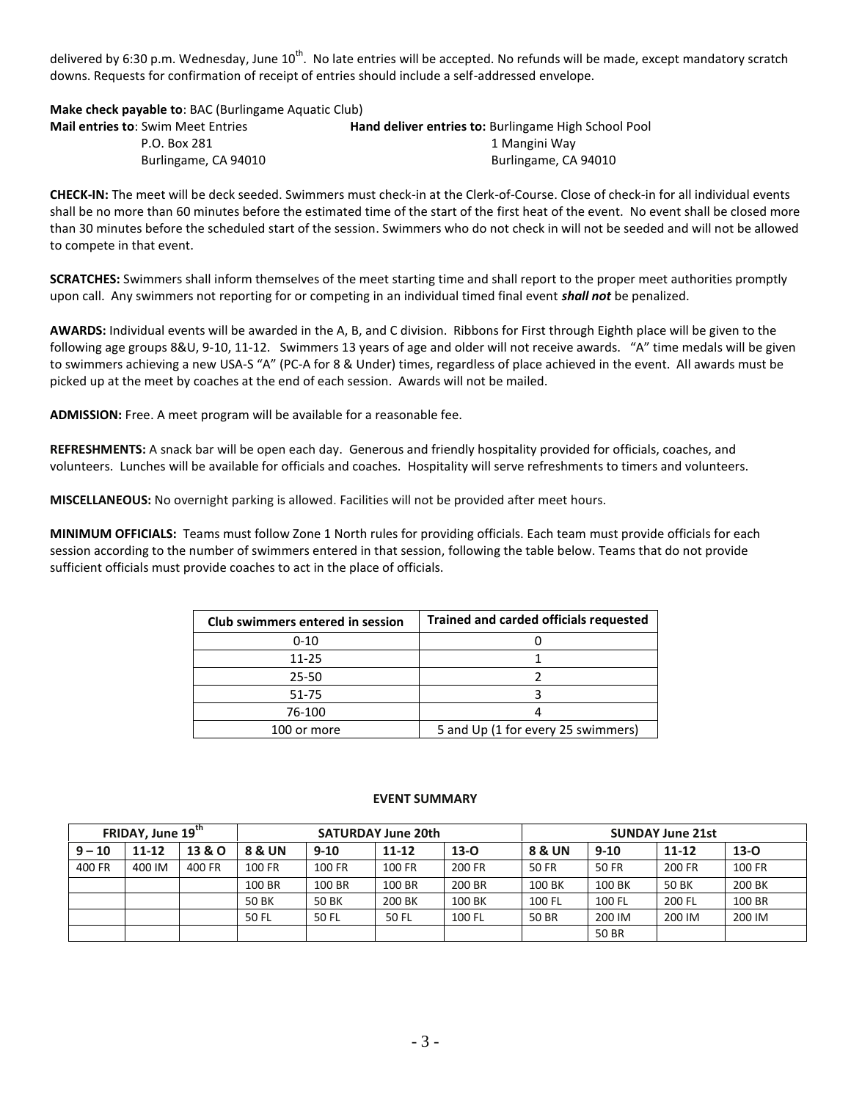delivered by 6:30 p.m. Wednesday, June 10<sup>th</sup>. No late entries will be accepted. No refunds will be made, except mandatory scratch downs. Requests for confirmation of receipt of entries should include a self-addressed envelope.

**Make check payable to**: BAC (Burlingame Aquatic Club)

| <b>Mail entries to:</b> Swim Meet Entries | <b>Hand deliver entries to: Burlingame High School Pool</b> |
|-------------------------------------------|-------------------------------------------------------------|
| P.O. Box 281                              | 1 Mangini Way                                               |
| Burlingame, CA 94010                      | Burlingame, CA 94010                                        |

**CHECK-IN:** The meet will be deck seeded. Swimmers must check-in at the Clerk-of-Course. Close of check-in for all individual events shall be no more than 60 minutes before the estimated time of the start of the first heat of the event. No event shall be closed more than 30 minutes before the scheduled start of the session. Swimmers who do not check in will not be seeded and will not be allowed to compete in that event.

**SCRATCHES:** Swimmers shall inform themselves of the meet starting time and shall report to the proper meet authorities promptly upon call. Any swimmers not reporting for or competing in an individual timed final event *shall not* be penalized.

**AWARDS:** Individual events will be awarded in the A, B, and C division. Ribbons for First through Eighth place will be given to the following age groups 8&U, 9-10, 11-12. Swimmers 13 years of age and older will not receive awards. "A" time medals will be given to swimmers achieving a new USA-S "A" (PC-A for 8 & Under) times, regardless of place achieved in the event. All awards must be picked up at the meet by coaches at the end of each session. Awards will not be mailed.

**ADMISSION:** Free. A meet program will be available for a reasonable fee.

**REFRESHMENTS:** A snack bar will be open each day. Generous and friendly hospitality provided for officials, coaches, and volunteers. Lunches will be available for officials and coaches. Hospitality will serve refreshments to timers and volunteers.

**MISCELLANEOUS:** No overnight parking is allowed. Facilities will not be provided after meet hours.

**MINIMUM OFFICIALS:** Teams must follow Zone 1 North rules for providing officials. Each team must provide officials for each session according to the number of swimmers entered in that session, following the table below. Teams that do not provide sufficient officials must provide coaches to act in the place of officials.

| Club swimmers entered in session | <b>Trained and carded officials requested</b> |  |  |  |  |  |
|----------------------------------|-----------------------------------------------|--|--|--|--|--|
| $0 - 10$                         |                                               |  |  |  |  |  |
| $11 - 25$                        |                                               |  |  |  |  |  |
| 25-50                            |                                               |  |  |  |  |  |
| 51-75                            |                                               |  |  |  |  |  |
| 76-100                           |                                               |  |  |  |  |  |
| 100 or more                      | 5 and Up (1 for every 25 swimmers)            |  |  |  |  |  |

#### **EVENT SUMMARY**

| FRIDAY, June 19 <sup>th</sup> |           |        | <b>SATURDAY June 20th</b> |        |           |        | <b>SUNDAY June 21st</b> |        |           |        |  |
|-------------------------------|-----------|--------|---------------------------|--------|-----------|--------|-------------------------|--------|-----------|--------|--|
| $9 - 10$                      | $11 - 12$ | 13 & O | 8 & UN<br>$9 - 10$        |        | $11 - 12$ | $13-0$ | 8 & UN                  | $9-10$ | $11 - 12$ | $13-0$ |  |
| 400 FR                        | 400 IM    | 400 FR | 100 FR                    | 100 FR | 100 FR    | 200 FR | 50 FR                   | 50 FR  | 200 FR    | 100 FR |  |
|                               |           |        | 100 BR                    | 100 BR | 100 BR    | 200 BR | 100 BK                  | 100 BK | 50 BK     | 200 BK |  |
|                               |           |        | 50 BK                     | 50 BK  | 200 BK    | 100 BK | 100 FL                  | 100 FL | 200 FL    | 100 BR |  |
|                               |           |        | 50 FL                     | 50 FL  | 50 FL     | 100 FL | 50 BR                   | 200 IM | 200 IM    | 200 IM |  |
|                               |           |        |                           |        |           |        |                         | 50 BR  |           |        |  |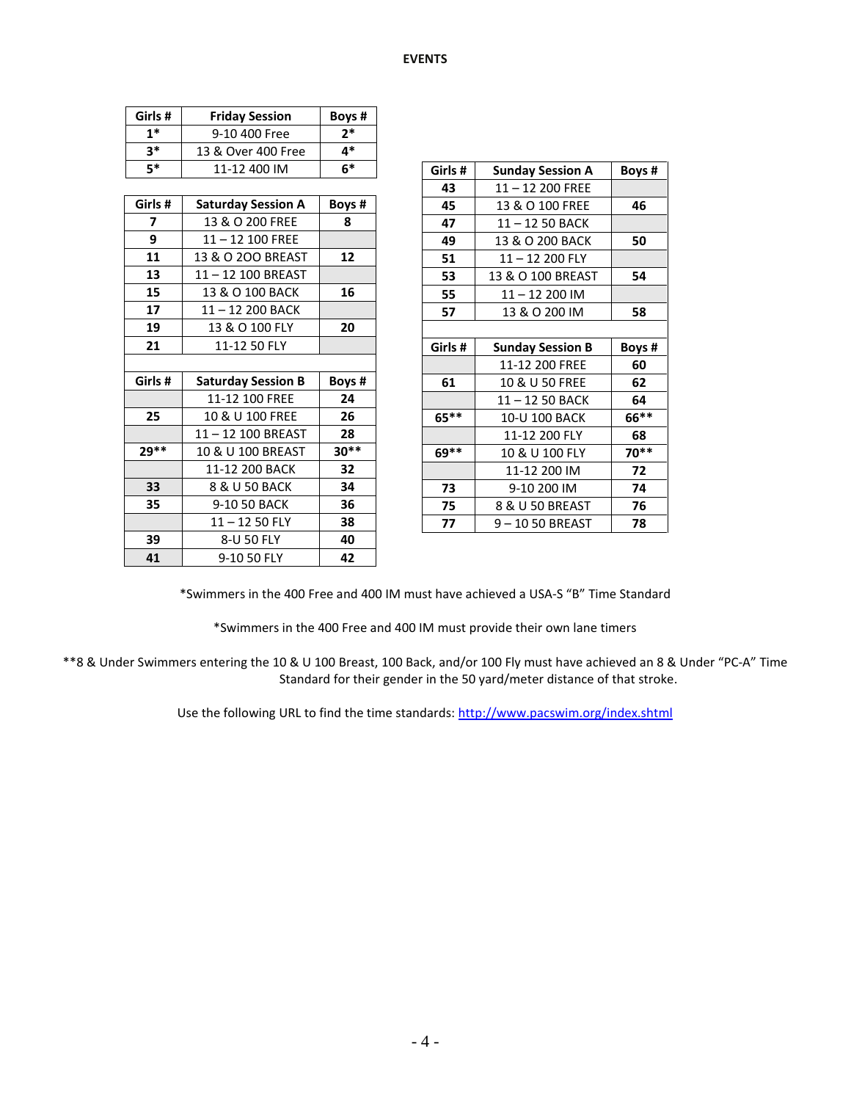| Girls # | <b>Friday Session</b>     | Boys # |
|---------|---------------------------|--------|
| $1*$    | 9-10 400 Free             | $2*$   |
| $3*$    | 13 & Over 400 Free        | 4*     |
| $5*$    | 11-12 400 IM              | $6*$   |
|         |                           |        |
| Girls # | <b>Saturday Session A</b> | Boys#  |
| 7       | 13 & O 200 FREE           | 8      |
| 9       | $11 - 12$ 100 FREE        |        |
| 11      | 13 & O 200 BREAST         | 12     |
| 13      | 11-12 100 BREAST          |        |
| 15      | 13 & O 100 BACK           | 16     |
| 17      | 11-12 200 BACK            |        |
| 19      | 13 & O 100 FLY            | 20     |
| 21      | 11-12 50 FLY              |        |
|         |                           |        |
| Girls # | <b>Saturday Session B</b> | Boys # |
|         | 11-12 100 FREE            | 24     |
| 25      | 10 & U 100 FREE           | 26     |
|         | 11-12 100 BREAST          | 28     |
| 29**    | 10 & U 100 BREAST         | $30**$ |
|         | 11-12 200 BACK            | 32     |
| 33      | 8 & U 50 BACK             | 34     |
| 35      | 9-10 50 BACK              | 36     |
|         | $11 - 1250$ FLY           |        |
| 39      | 8-U 50 FLY                | 40     |
| 41      | 9-10 50 FLY               | 42     |

| 5*                      | 11-12 400 IM              | $6*$   | Girls#  | <b>Sunday Session A</b> | Boys # |
|-------------------------|---------------------------|--------|---------|-------------------------|--------|
|                         |                           |        | 43      | $11 - 12200$ FREE       |        |
| rls#                    | <b>Saturday Session A</b> | Boys#  | 45      | 13 & O 100 FREE         | 46     |
| $\overline{\mathbf{z}}$ | 13 & O 200 FREE           | 8      | 47      | 11-12 50 BACK           |        |
| $\boldsymbol{9}$        | $11 - 12$ 100 FREE        |        | 49      | 13 & O 200 BACK         | 50     |
| 11                      | 13 & O 200 BREAST         | 12     | 51      | 11-12 200 FLY           |        |
| 13                      | 11-12 100 BREAST          |        | 53      | 13 & O 100 BREAST       | 54     |
| 15                      | 13 & O 100 BACK           | 16     | 55      | $11 - 12200$ IM         |        |
| 17                      | 11-12 200 BACK            |        | 57      | 13 & O 200 IM           | 58     |
| 19                      | 13 & O 100 FLY            | 20     |         |                         |        |
| 21                      | 11-12 50 FLY              |        | Girls#  | <b>Sunday Session B</b> | Boys # |
|                         |                           |        |         | 11-12 200 FREE          | 60     |
| rls#                    | <b>Saturday Session B</b> | Boys # | 61      | 10 & U 50 FREE          | 62     |
|                         | 11-12 100 FREE            | 24     |         | 11-12 50 BACK           | 64     |
| 25                      | 10 & U 100 FREE           | 26     | $65***$ | 10-U 100 BACK           | 66**   |
|                         | 11-12 100 BREAST          | 28     |         | 11-12 200 FLY           | 68     |
| g**                     | 10 & U 100 BREAST         | $30**$ | $69***$ | 10 & U 100 FLY          | 70**   |
|                         | 11-12 200 BACK            | 32     |         | 11-12 200 IM            | 72     |
| 33                      | 8 & U 50 BACK             | 34     | 73      | 9-10 200 IM             | 74     |
| 35                      | 9-10 50 BACK              | 36     | 75      | 8 & U 50 BREAST         | 76     |
|                         | $11 - 1250$ FLY           | 38     | 77      | 9-1050 BREAST           | 78     |
| 50                      | $R - 1150$ FIV            | 40     |         |                         |        |

\*Swimmers in the 400 Free and 400 IM must have achieved a USA-S "B" Time Standard

\*Swimmers in the 400 Free and 400 IM must provide their own lane timers

\*\*8 & Under Swimmers entering the 10 & U 100 Breast, 100 Back, and/or 100 Fly must have achieved an 8 & Under "PC-A" Time Standard for their gender in the 50 yard/meter distance of that stroke.

Use the following URL to find the time standards:<http://www.pacswim.org/index.shtml>